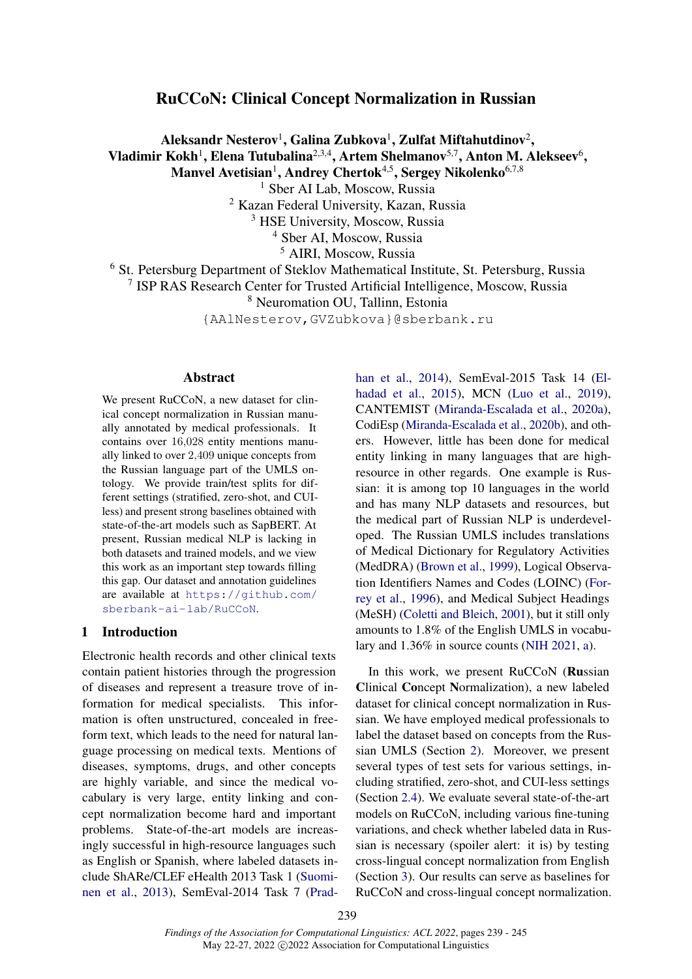# RuCCoN: Clinical Concept Normalization in Russian

Aleksandr Nesterov<sup>1</sup>, Galina Zubkova<sup>1</sup>, Zulfat Miftahutdinov<sup>2</sup>, Vladimir Kokh<sup>1</sup>, Elena Tutubalina<sup>2,3,4</sup>, Artem Shelmanov<sup>5,7</sup>, Anton M. Alekseev<sup>6</sup>, Manvel Avetisian<sup>1</sup>, Andrey Chertok<sup>4,5</sup>, Sergey Nikolenko<sup>6,7,8</sup>

<sup>1</sup> Sber AI Lab, Moscow, Russia

<sup>2</sup> Kazan Federal University, Kazan, Russia

<sup>3</sup> HSE University, Moscow, Russia

<sup>4</sup> Sber AI, Moscow, Russia

<sup>5</sup> AIRI, Moscow, Russia

<sup>6</sup> St. Petersburg Department of Steklov Mathematical Institute, St. Petersburg, Russia

7 ISP RAS Research Center for Trusted Artificial Intelligence, Moscow, Russia

<sup>8</sup> Neuromation OU, Tallinn, Estonia

{AAlNesterov,GVZubkova}@sberbank.ru

### Abstract

We present RuCCoN, a new dataset for clinical concept normalization in Russian manually annotated by medical professionals. It contains over 16,028 entity mentions manually linked to over 2,409 unique concepts from the Russian language part of the UMLS ontology. We provide train/test splits for different settings (stratified, zero-shot, and CUIless) and present strong baselines obtained with state-of-the-art models such as SapBERT. At present, Russian medical NLP is lacking in both datasets and trained models, and we view this work as an important step towards filling this gap. Our dataset and annotation guidelines are available at [https://github.com/](https://github.com/sberbank-ai-lab/RuCCoN) [sberbank-ai-lab/RuCCoN](https://github.com/sberbank-ai-lab/RuCCoN).

### 1 Introduction

Electronic health records and other clinical texts contain patient histories through the progression of diseases and represent a treasure trove of information for medical specialists. This information is often unstructured, concealed in freeform text, which leads to the need for natural language processing on medical texts. Mentions of diseases, symptoms, drugs, and other concepts are highly variable, and since the medical vocabulary is very large, entity linking and concept normalization become hard and important problems. State-of-the-art models are increasingly successful in high-resource languages such as English or Spanish, where labeled datasets include ShARe/CLEF eHealth 2013 Task 1 [\(Suomi](#page-6-0)[nen et al.,](#page-6-0) [2013\)](#page-6-0), SemEval-2014 Task 7 [\(Prad-](#page-5-0) [han et al.,](#page-5-0) [2014\)](#page-5-0), SemEval-2015 Task 14 [\(El](#page-5-1)[hadad et al.,](#page-5-1) [2015\)](#page-5-1), MCN [\(Luo et al.,](#page-5-2) [2019\)](#page-5-2), CANTEMIST [\(Miranda-Escalada et al.,](#page-5-3) [2020a\)](#page-5-3), CodiEsp [\(Miranda-Escalada et al.,](#page-5-4) [2020b\)](#page-5-4), and others. However, little has been done for medical entity linking in many languages that are highresource in other regards. One example is Russian: it is among top 10 languages in the world and has many NLP datasets and resources, but the medical part of Russian NLP is underdeveloped. The Russian UMLS includes translations of Medical Dictionary for Regulatory Activities (MedDRA) [\(Brown et al.,](#page-5-5) [1999\)](#page-5-5), Logical Observation Identifiers Names and Codes (LOINC) [\(For](#page-5-6)[rey et al.,](#page-5-6) [1996\)](#page-5-6), and Medical Subject Headings (MeSH) [\(Coletti and Bleich,](#page-5-7) [2001\)](#page-5-7), but it still only amounts to 1.8% of the English UMLS in vocabulary and 1.36% in source counts [\(NIH 2021,](#page-5-8) [a\)](#page-5-8).

In this work, we present RuCCoN (Russian Clinical Concept Normalization), a new labeled dataset for clinical concept normalization in Russian. We have employed medical professionals to label the dataset based on concepts from the Russian UMLS (Section [2\)](#page-1-0). Moreover, we present several types of test sets for various settings, including stratified, zero-shot, and CUI-less settings (Section [2.4\)](#page-2-0). We evaluate several state-of-the-art models on RuCCoN, including various fine-tuning variations, and check whether labeled data in Russian is necessary (spoiler alert: it is) by testing cross-lingual concept normalization from English (Section [3\)](#page-3-0). Our results can serve as baselines for RuCCoN and cross-lingual concept normalization.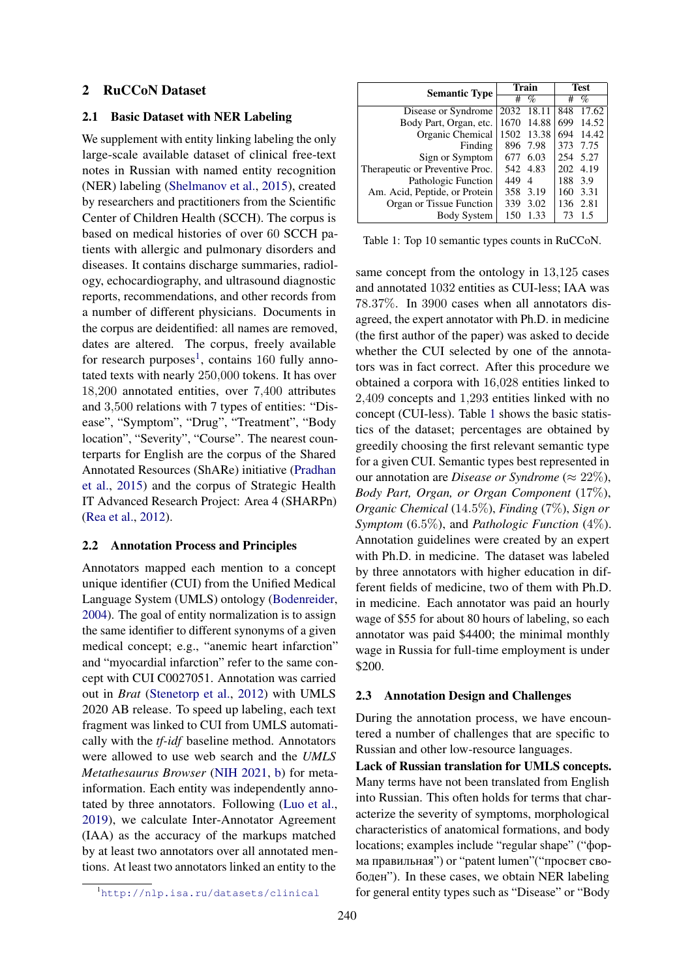## <span id="page-1-0"></span>2 RuCCoN Dataset

#### 2.1 Basic Dataset with NER Labeling

We supplement with entity linking labeling the only large-scale available dataset of clinical free-text notes in Russian with named entity recognition (NER) labeling [\(Shelmanov et al.,](#page-6-1) [2015\)](#page-6-1), created by researchers and practitioners from the Scientific Center of Children Health (SCCH). The corpus is based on medical histories of over 60 SCCH patients with allergic and pulmonary disorders and diseases. It contains discharge summaries, radiology, echocardiography, and ultrasound diagnostic reports, recommendations, and other records from a number of different physicians. Documents in the corpus are deidentified: all names are removed, dates are altered. The corpus, freely available for research purposes<sup>[1](#page-1-1)</sup>, contains 160 fully annotated texts with nearly 250,000 tokens. It has over 18,200 annotated entities, over 7,400 attributes and 3,500 relations with 7 types of entities: "Disease", "Symptom", "Drug", "Treatment", "Body location", "Severity", "Course". The nearest counterparts for English are the corpus of the Shared Annotated Resources (ShARe) initiative [\(Pradhan](#page-5-9) [et al.,](#page-5-9) [2015\)](#page-5-9) and the corpus of Strategic Health IT Advanced Research Project: Area 4 (SHARPn) [\(Rea et al.,](#page-5-10) [2012\)](#page-5-10).

### 2.2 Annotation Process and Principles

Annotators mapped each mention to a concept unique identifier (CUI) from the Unified Medical Language System (UMLS) ontology [\(Bodenreider,](#page-5-11) [2004\)](#page-5-11). The goal of entity normalization is to assign the same identifier to different synonyms of a given medical concept; e.g., "anemic heart infarction" and "myocardial infarction" refer to the same concept with CUI C0027051. Annotation was carried out in *Brat* [\(Stenetorp et al.,](#page-6-2) [2012\)](#page-6-2) with UMLS 2020 AB release. To speed up labeling, each text fragment was linked to CUI from UMLS automatically with the *tf-idf* baseline method. Annotators were allowed to use web search and the *UMLS Metathesaurus Browser* [\(NIH 2021,](#page-5-12) [b\)](#page-5-12) for metainformation. Each entity was independently annotated by three annotators. Following [\(Luo et al.,](#page-5-2) [2019\)](#page-5-2), we calculate Inter-Annotator Agreement (IAA) as the accuracy of the markups matched by at least two annotators over all annotated mentions. At least two annotators linked an entity to the

<span id="page-1-1"></span>

|  | http://nlp.isa.ru/datasets/clinical |  |  |
|--|-------------------------------------|--|--|
|--|-------------------------------------|--|--|

<span id="page-1-2"></span>

| <b>Semantic Type</b>            |      | Train         | <b>Test</b> |          |  |
|---------------------------------|------|---------------|-------------|----------|--|
|                                 | #    | $\mathcal{A}$ | #           | $\%$     |  |
| Disease or Syndrome             | 2032 | 18.11         | 848         | 17.62    |  |
| Body Part, Organ, etc.          | 1670 | 14.88         | 699         | 14.52    |  |
| Organic Chemical                | 1502 | 13.38         | 694         | 14.42    |  |
| Finding                         |      | 896 7.98      | 373         | 7.75     |  |
| Sign or Symptom                 | 677  | 6.03          |             | 254 5.27 |  |
| Therapeutic or Preventive Proc. |      | 542 4.83      | 202         | 4.19     |  |
| Pathologic Function             | 449  | 4             | 188         | 3.9      |  |
| Am. Acid, Peptide, or Protein   | 358  | 3.19          | 160         | 3.31     |  |
| Organ or Tissue Function        | 339  | 3.02          | 136         | 2.81     |  |
| Body System                     | 150  | 1.33          | 73          | 1.5      |  |
|                                 |      |               |             |          |  |

Table 1: Top 10 semantic types counts in RuCCoN.

same concept from the ontology in 13,125 cases and annotated 1032 entities as CUI-less; IAA was 78.37%. In 3900 cases when all annotators disagreed, the expert annotator with Ph.D. in medicine (the first author of the paper) was asked to decide whether the CUI selected by one of the annotators was in fact correct. After this procedure we obtained a corpora with 16,028 entities linked to 2,409 concepts and 1,293 entities linked with no concept (CUI-less). Table [1](#page-1-2) shows the basic statistics of the dataset; percentages are obtained by greedily choosing the first relevant semantic type for a given CUI. Semantic types best represented in our annotation are *Disease or Syndrome* ( $\approx 22\%$ ), *Body Part, Organ, or Organ Component* (17%), *Organic Chemical* (14.5%), *Finding* (7%), *Sign or Symptom* (6.5%), and *Pathologic Function* (4%). Annotation guidelines were created by an expert with Ph.D. in medicine. The dataset was labeled by three annotators with higher education in different fields of medicine, two of them with Ph.D. in medicine. Each annotator was paid an hourly wage of \$55 for about 80 hours of labeling, so each annotator was paid \$4400; the minimal monthly wage in Russia for full-time employment is under \$200.

### 2.3 Annotation Design and Challenges

During the annotation process, we have encountered a number of challenges that are specific to Russian and other low-resource languages.

Lack of Russian translation for UMLS concepts. Many terms have not been translated from English into Russian. This often holds for terms that characterize the severity of symptoms, morphological characteristics of anatomical formations, and body locations; examples include "regular shape" ("форма правильная") or "patent lumen"("просвет свободен"). In these cases, we obtain NER labeling for general entity types such as "Disease" or "Body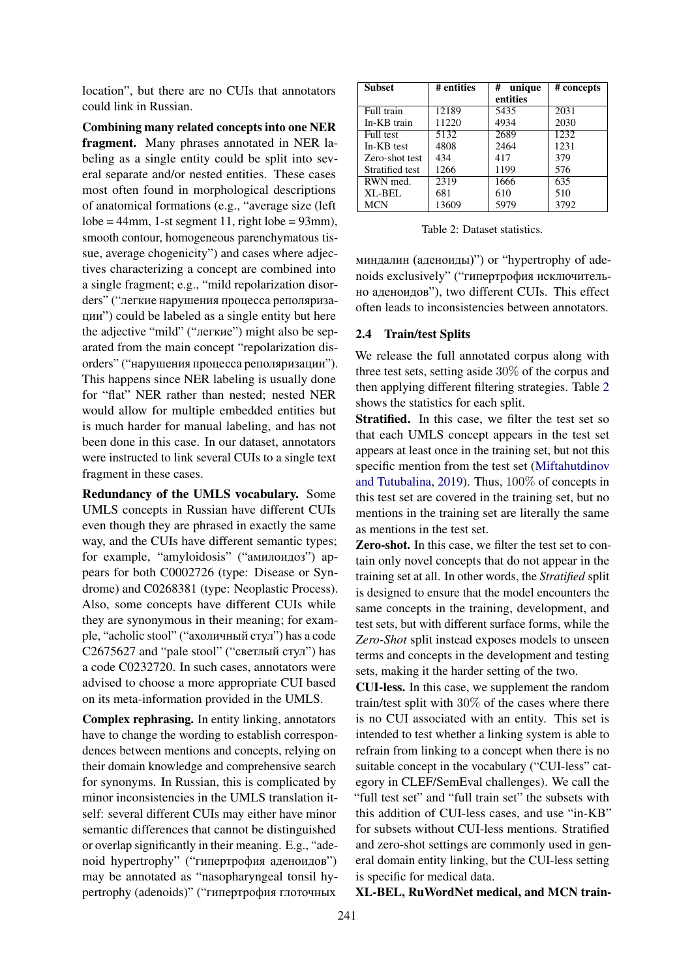location", but there are no CUIs that annotators could link in Russian.

Combining many related concepts into one NER fragment. Many phrases annotated in NER labeling as a single entity could be split into several separate and/or nested entities. These cases most often found in morphological descriptions of anatomical formations (e.g., "average size (left  $lobe = 44mm$ , 1-st segment 11, right  $lobe = 93mm$ ), smooth contour, homogeneous parenchymatous tissue, average chogenicity") and cases where adjectives characterizing a concept are combined into a single fragment; e.g., "mild repolarization disorders" ("легкие нарушения процесса реполяризации") could be labeled as a single entity but here the adjective "mild" ("легкие") might also be separated from the main concept "repolarization disorders" ("нарушения процесса реполяризации"). This happens since NER labeling is usually done for "flat" NER rather than nested; nested NER would allow for multiple embedded entities but is much harder for manual labeling, and has not been done in this case. In our dataset, annotators were instructed to link several CUIs to a single text fragment in these cases.

Redundancy of the UMLS vocabulary. Some UMLS concepts in Russian have different CUIs even though they are phrased in exactly the same way, and the CUIs have different semantic types; for example, "amyloidosis" ("амилоидоз") appears for both C0002726 (type: Disease or Syndrome) and C0268381 (type: Neoplastic Process). Also, some concepts have different CUIs while they are synonymous in their meaning; for example, "acholic stool" ("ахоличный стул") has a code C2675627 and "pale stool" ("светлый стул") has a code C0232720. In such cases, annotators were advised to choose a more appropriate CUI based on its meta-information provided in the UMLS.

Complex rephrasing. In entity linking, annotators have to change the wording to establish correspondences between mentions and concepts, relying on their domain knowledge and comprehensive search for synonyms. In Russian, this is complicated by minor inconsistencies in the UMLS translation itself: several different CUIs may either have minor semantic differences that cannot be distinguished or overlap significantly in their meaning. E.g., "adenoid hypertrophy" ("гипертрофия аденоидов") may be annotated as "nasopharyngeal tonsil hypertrophy (adenoids)" ("гипертрофия глоточных

<span id="page-2-1"></span>

| <b>Subset</b>   | # entities | # unique | # concepts |
|-----------------|------------|----------|------------|
|                 |            | entities |            |
| Full train      | 12189      | 5435     | 2031       |
| In-KB train     | 11220      | 4934     | 2030       |
| Full test       | 5132       | 2689     | 1232       |
| In-KB test      | 4808       | 2464     | 1231       |
| Zero-shot test  | 434        | 417      | 379        |
| Stratified test | 1266       | 1199     | 576        |
| RWN med.        | 2319       | 1666     | 635        |
| XL-BEL          | 681        | 610      | 510        |
| <b>MCN</b>      | 13609      | 5979     | 3792       |

Table 2: Dataset statistics.

миндалин (аденоиды)") or "hypertrophy of adenoids exclusively" ("гипертрофия исключительно аденоидов"), two different CUIs. This effect often leads to inconsistencies between annotators.

#### <span id="page-2-0"></span>2.4 Train/test Splits

We release the full annotated corpus along with three test sets, setting aside 30% of the corpus and then applying different filtering strategies. Table [2](#page-2-1) shows the statistics for each split.

Stratified. In this case, we filter the test set so that each UMLS concept appears in the test set appears at least once in the training set, but not this specific mention from the test set [\(Miftahutdinov](#page-5-13) [and Tutubalina,](#page-5-13) [2019\)](#page-5-13). Thus, 100% of concepts in this test set are covered in the training set, but no mentions in the training set are literally the same as mentions in the test set.

Zero-shot. In this case, we filter the test set to contain only novel concepts that do not appear in the training set at all. In other words, the *Stratified* split is designed to ensure that the model encounters the same concepts in the training, development, and test sets, but with different surface forms, while the *Zero-Shot* split instead exposes models to unseen terms and concepts in the development and testing sets, making it the harder setting of the two.

CUI-less. In this case, we supplement the random train/test split with 30% of the cases where there is no CUI associated with an entity. This set is intended to test whether a linking system is able to refrain from linking to a concept when there is no suitable concept in the vocabulary ("CUI-less" category in CLEF/SemEval challenges). We call the "full test set" and "full train set" the subsets with this addition of CUI-less cases, and use "in-KB" for subsets without CUI-less mentions. Stratified and zero-shot settings are commonly used in general domain entity linking, but the CUI-less setting is specific for medical data.

XL-BEL, RuWordNet medical, and MCN train-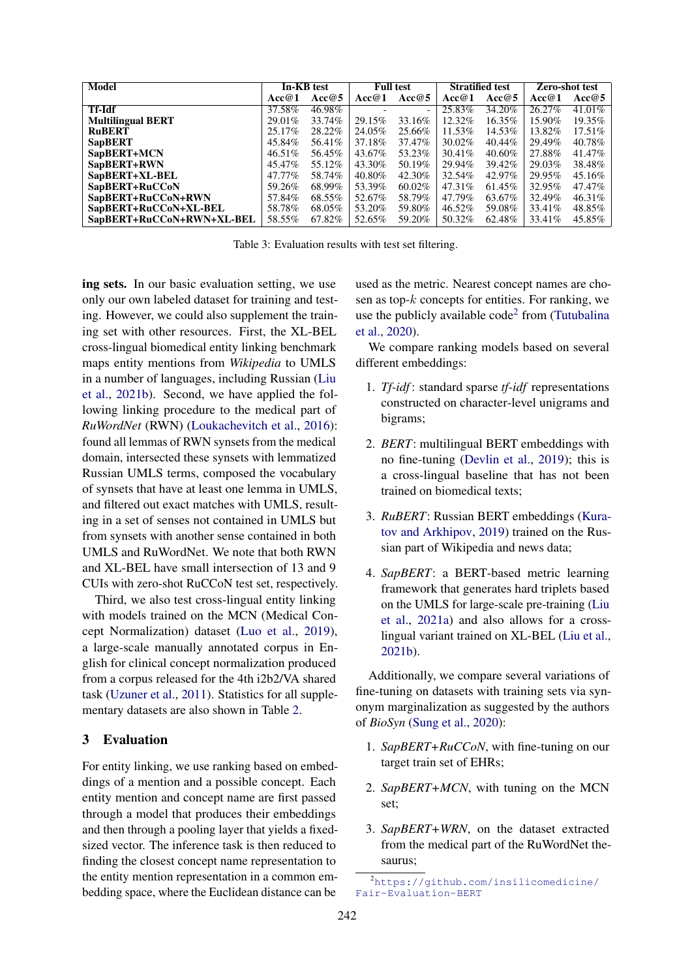<span id="page-3-2"></span>

| Model                     | In-KB test |         | <b>Full test</b> |        | <b>Stratified test</b> |         | Zero-shot test |           |
|---------------------------|------------|---------|------------------|--------|------------------------|---------|----------------|-----------|
|                           | Acc@1      | Acc@5   | Acc@1            | Acc@5  | Acc@1                  | Acc@5   | Acc@1          | Acc@5     |
| <b>Tf-Idf</b>             | 37.58%     | 46.98%  |                  |        | 25.83%                 | 34.20%  | 26.27%         | $41.01\%$ |
| <b>Multilingual BERT</b>  | $29.01\%$  | 33.74%  | 29.15%           | 33.16% | 12.32%                 | 16.35%  | 15.90%         | 19.35%    |
| <b>RuBERT</b>             | 25.17%     | 28.22%  | 24.05%           | 25.66% | 11.53%                 | 14.53%  | 13.82%         | 17.51\%   |
| <b>SapBERT</b>            | 45.84%     | 56.41\% | 37.18%           | 37.47% | 30.02%                 | 40.44%  | 29.49%         | 40.78%    |
| SapBERT+MCN               | 46.51%     | 56.45%  | 43.67%           | 53.23% | 30.41\%                | 40.60%  | 27.88%         | 41.47%    |
| SapBERT+RWN               | 45.47%     | 55.12%  | 43.30%           | 50.19% | 29.94%                 | 39.42\% | 29.03%         | 38.48%    |
| SapBERT+XL-BEL            | 47.77%     | 58.74%  | 40.80%           | 42.30% | 32.54%                 | 42.97%  | 29.95%         | 45.16%    |
| SapBERT+RuCCoN            | 59.26%     | 68.99%  | 53.39%           | 60.02% | 47.31\%                | 61.45%  | 32.95%         | 47.47%    |
| SapBERT+RuCCoN+RWN        | 57.84%     | 68.55%  | 52.67%           | 58.79% | 47.79%                 | 63.67%  | 32.49%         | 46.31%    |
| SapBERT+RuCCoN+XL-BEL     | 58.78%     | 68.05%  | 53.20%           | 59.80% | 46.52%                 | 59.08%  | 33.41\%        | 48.85%    |
| SapBERT+RuCCoN+RWN+XL-BEL | 58.55%     | 67.82%  | 52.65%           | 59.20% | 50.32\%                | 62.48%  | 33.41\%        | 45.85%    |

Table 3: Evaluation results with test set filtering.

ing sets. In our basic evaluation setting, we use only our own labeled dataset for training and testing. However, we could also supplement the training set with other resources. First, the XL-BEL cross-lingual biomedical entity linking benchmark maps entity mentions from *Wikipedia* to UMLS in a number of languages, including Russian [\(Liu](#page-5-14) [et al.,](#page-5-14) [2021b\)](#page-5-14). Second, we have applied the following linking procedure to the medical part of *RuWordNet* (RWN) [\(Loukachevitch et al.,](#page-5-15) [2016\)](#page-5-15): found all lemmas of RWN synsets from the medical domain, intersected these synsets with lemmatized Russian UMLS terms, composed the vocabulary of synsets that have at least one lemma in UMLS, and filtered out exact matches with UMLS, resulting in a set of senses not contained in UMLS but from synsets with another sense contained in both UMLS and RuWordNet. We note that both RWN and XL-BEL have small intersection of 13 and 9 CUIs with zero-shot RuCCoN test set, respectively.

Third, we also test cross-lingual entity linking with models trained on the MCN (Medical Concept Normalization) dataset [\(Luo et al.,](#page-5-2) [2019\)](#page-5-2), a large-scale manually annotated corpus in English for clinical concept normalization produced from a corpus released for the 4th i2b2/VA shared task [\(Uzuner et al.,](#page-6-3) [2011\)](#page-6-3). Statistics for all supplementary datasets are also shown in Table [2.](#page-2-1)

### <span id="page-3-0"></span>3 Evaluation

For entity linking, we use ranking based on embeddings of a mention and a possible concept. Each entity mention and concept name are first passed through a model that produces their embeddings and then through a pooling layer that yields a fixedsized vector. The inference task is then reduced to finding the closest concept name representation to the entity mention representation in a common embedding space, where the Euclidean distance can be

used as the metric. Nearest concept names are chosen as top- $k$  concepts for entities. For ranking, we use the publicly available  $code^2$  $code^2$  from [\(Tutubalina](#page-6-4) [et al.,](#page-6-4) [2020\)](#page-6-4).

We compare ranking models based on several different embeddings:

- 1. *Tf-idf* : standard sparse *tf-idf* representations constructed on character-level unigrams and bigrams;
- 2. *BERT*: multilingual BERT embeddings with no fine-tuning [\(Devlin et al.,](#page-5-16) [2019\)](#page-5-16); this is a cross-lingual baseline that has not been trained on biomedical texts;
- 3. *RuBERT*: Russian BERT embeddings [\(Kura](#page-5-17)[tov and Arkhipov,](#page-5-17) [2019\)](#page-5-17) trained on the Russian part of Wikipedia and news data;
- 4. *SapBERT*: a BERT-based metric learning framework that generates hard triplets based on the UMLS for large-scale pre-training [\(Liu](#page-5-18) [et al.,](#page-5-18) [2021a\)](#page-5-18) and also allows for a crosslingual variant trained on XL-BEL [\(Liu et al.,](#page-5-14) [2021b\)](#page-5-14).

Additionally, we compare several variations of fine-tuning on datasets with training sets via synonym marginalization as suggested by the authors of *BioSyn* [\(Sung et al.,](#page-6-5) [2020\)](#page-6-5):

- 1. *SapBERT+RuCCoN*, with fine-tuning on our target train set of EHRs;
- 2. *SapBERT+MCN*, with tuning on the MCN set;
- 3. *SapBERT+WRN*, on the dataset extracted from the medical part of the RuWordNet thesaurus;

<span id="page-3-1"></span><sup>2</sup>[https://github.com/insilicomedicine/](https://github.com/insilicomedicine/Fair-Evaluation-BERT) [Fair-Evaluation-BERT](https://github.com/insilicomedicine/Fair-Evaluation-BERT)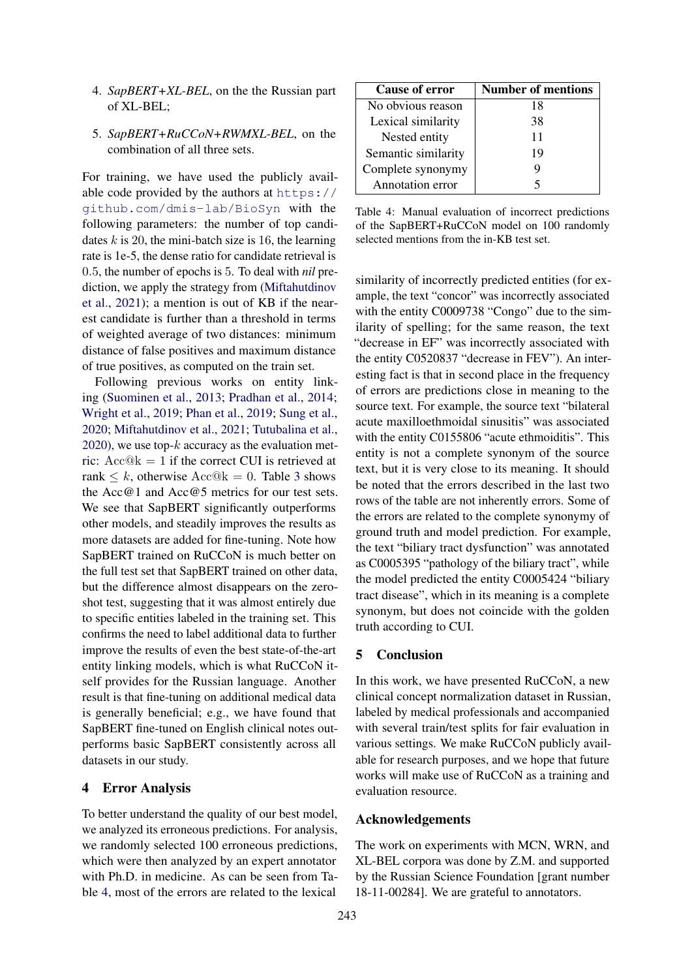- 4. *SapBERT+XL-BEL*, on the the Russian part of XL-BEL;
- 5. *SapBERT+RuCCoN+RWMXL-BEL*, on the combination of all three sets.

For training, we have used the publicly available code provided by the authors at [https://](https://github.com/dmis-lab/BioSyn) [github.com/dmis-lab/BioSyn](https://github.com/dmis-lab/BioSyn) with the following parameters: the number of top candidates  $k$  is 20, the mini-batch size is 16, the learning rate is 1e-5, the dense ratio for candidate retrieval is 0.5, the number of epochs is 5. To deal with *nil* prediction, we apply the strategy from [\(Miftahutdinov](#page-5-19) [et al.,](#page-5-19) [2021\)](#page-5-19); a mention is out of KB if the nearest candidate is further than a threshold in terms of weighted average of two distances: minimum distance of false positives and maximum distance of true positives, as computed on the train set.

Following previous works on entity linking [\(Suominen et al.,](#page-6-0) [2013;](#page-6-0) [Pradhan et al.,](#page-5-0) [2014;](#page-5-0) [Wright et al.,](#page-6-6) [2019;](#page-6-6) [Phan et al.,](#page-5-20) [2019;](#page-5-20) [Sung et al.,](#page-6-5) [2020;](#page-6-5) [Miftahutdinov et al.,](#page-5-19) [2021;](#page-5-19) [Tutubalina et al.,](#page-6-4)  $2020$ , we use top- $k$  accuracy as the evaluation metric:  $Acc@k = 1$  if the correct CUI is retrieved at rank  $\leq k$ , otherwise  $Acc@k = 0$ . Table [3](#page-3-2) shows the Acc@1 and Acc@5 metrics for our test sets. We see that SapBERT significantly outperforms other models, and steadily improves the results as more datasets are added for fine-tuning. Note how SapBERT trained on RuCCoN is much better on the full test set that SapBERT trained on other data, but the difference almost disappears on the zeroshot test, suggesting that it was almost entirely due to specific entities labeled in the training set. This confirms the need to label additional data to further improve the results of even the best state-of-the-art entity linking models, which is what RuCCoN itself provides for the Russian language. Another result is that fine-tuning on additional medical data is generally beneficial; e.g., we have found that SapBERT fine-tuned on English clinical notes outperforms basic SapBERT consistently across all datasets in our study.

# 4 Error Analysis

To better understand the quality of our best model, we analyzed its erroneous predictions. For analysis, we randomly selected 100 erroneous predictions, which were then analyzed by an expert annotator with Ph.D. in medicine. As can be seen from Table [4,](#page-4-0) most of the errors are related to the lexical

<span id="page-4-0"></span>

| <b>Cause of error</b> | Number of mentions |  |  |  |  |
|-----------------------|--------------------|--|--|--|--|
| No obvious reason     | 18                 |  |  |  |  |
| Lexical similarity    | 38                 |  |  |  |  |
| Nested entity         | 11                 |  |  |  |  |
| Semantic similarity   | 19                 |  |  |  |  |
| Complete synonymy     |                    |  |  |  |  |
| Annotation error      |                    |  |  |  |  |

Table 4: Manual evaluation of incorrect predictions of the SapBERT+RuCCoN model on 100 randomly selected mentions from the in-KB test set.

similarity of incorrectly predicted entities (for example, the text "concor" was incorrectly associated with the entity C0009738 "Congo" due to the similarity of spelling; for the same reason, the text "decrease in EF" was incorrectly associated with the entity C0520837 "decrease in FEV"). An interesting fact is that in second place in the frequency of errors are predictions close in meaning to the source text. For example, the source text "bilateral acute maxilloethmoidal sinusitis" was associated with the entity C0155806 "acute ethmoiditis". This entity is not a complete synonym of the source text, but it is very close to its meaning. It should be noted that the errors described in the last two rows of the table are not inherently errors. Some of the errors are related to the complete synonymy of ground truth and model prediction. For example, the text "biliary tract dysfunction" was annotated as C0005395 "pathology of the biliary tract", while the model predicted the entity C0005424 "biliary tract disease", which in its meaning is a complete synonym, but does not coincide with the golden truth according to CUI.

#### 5 Conclusion

In this work, we have presented RuCCoN, a new clinical concept normalization dataset in Russian, labeled by medical professionals and accompanied with several train/test splits for fair evaluation in various settings. We make RuCCoN publicly available for research purposes, and we hope that future works will make use of RuCCoN as a training and evaluation resource.

# Acknowledgements

The work on experiments with MCN, WRN, and XL-BEL corpora was done by Z.M. and supported by the Russian Science Foundation [grant number 18-11-00284]. We are grateful to annotators.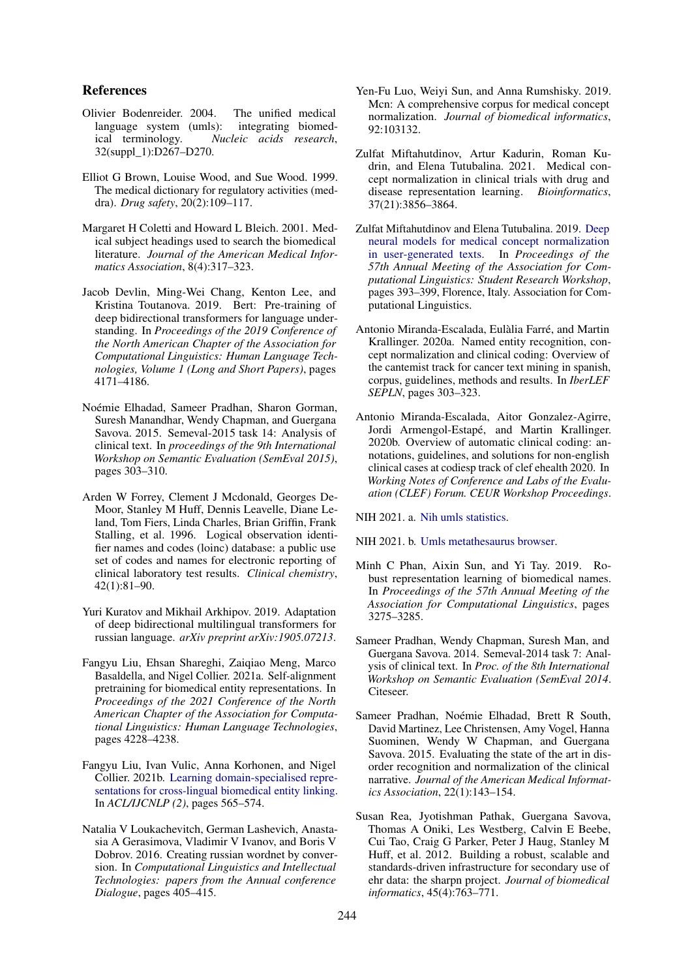### References

- <span id="page-5-11"></span>Olivier Bodenreider. 2004. The unified medical language system (umls): integrating biomedical terminology. *Nucleic acids research*, 32(suppl\_1):D267–D270.
- <span id="page-5-5"></span>Elliot G Brown, Louise Wood, and Sue Wood. 1999. The medical dictionary for regulatory activities (meddra). *Drug safety*, 20(2):109–117.
- <span id="page-5-7"></span>Margaret H Coletti and Howard L Bleich. 2001. Medical subject headings used to search the biomedical literature. *Journal of the American Medical Informatics Association*, 8(4):317–323.
- <span id="page-5-16"></span>Jacob Devlin, Ming-Wei Chang, Kenton Lee, and Kristina Toutanova. 2019. Bert: Pre-training of deep bidirectional transformers for language understanding. In *Proceedings of the 2019 Conference of the North American Chapter of the Association for Computational Linguistics: Human Language Technologies, Volume 1 (Long and Short Papers)*, pages 4171–4186.
- <span id="page-5-1"></span>Noémie Elhadad, Sameer Pradhan, Sharon Gorman, Suresh Manandhar, Wendy Chapman, and Guergana Savova. 2015. Semeval-2015 task 14: Analysis of clinical text. In *proceedings of the 9th International Workshop on Semantic Evaluation (SemEval 2015)*, pages 303–310.
- <span id="page-5-6"></span>Arden W Forrey, Clement J Mcdonald, Georges De-Moor, Stanley M Huff, Dennis Leavelle, Diane Leland, Tom Fiers, Linda Charles, Brian Griffin, Frank Stalling, et al. 1996. Logical observation identifier names and codes (loinc) database: a public use set of codes and names for electronic reporting of clinical laboratory test results. *Clinical chemistry*, 42(1):81–90.
- <span id="page-5-17"></span>Yuri Kuratov and Mikhail Arkhipov. 2019. Adaptation of deep bidirectional multilingual transformers for russian language. *arXiv preprint arXiv:1905.07213*.
- <span id="page-5-18"></span>Fangyu Liu, Ehsan Shareghi, Zaiqiao Meng, Marco Basaldella, and Nigel Collier. 2021a. Self-alignment pretraining for biomedical entity representations. In *Proceedings of the 2021 Conference of the North American Chapter of the Association for Computational Linguistics: Human Language Technologies*, pages 4228–4238.
- <span id="page-5-14"></span>Fangyu Liu, Ivan Vulic, Anna Korhonen, and Nigel Collier. 2021b. [Learning domain-specialised repre](https://doi.org/10.18653/v1/2021.acl-short.72)[sentations for cross-lingual biomedical entity linking.](https://doi.org/10.18653/v1/2021.acl-short.72) In *ACL/IJCNLP (2)*, pages 565–574.
- <span id="page-5-15"></span>Natalia V Loukachevitch, German Lashevich, Anastasia A Gerasimova, Vladimir V Ivanov, and Boris V Dobrov. 2016. Creating russian wordnet by conversion. In *Computational Linguistics and Intellectual Technologies: papers from the Annual conference Dialogue*, pages  $405 - 415$ .
- <span id="page-5-2"></span>Yen-Fu Luo, Weiyi Sun, and Anna Rumshisky. 2019. Mcn: A comprehensive corpus for medical concept normalization. *Journal of biomedical informatics*, 92:103132.
- <span id="page-5-19"></span>Zulfat Miftahutdinov, Artur Kadurin, Roman Kudrin, and Elena Tutubalina. 2021. Medical concept normalization in clinical trials with drug and disease representation learning. *Bioinformatics*, 37(21):3856–3864.
- <span id="page-5-13"></span>Zulfat Miftahutdinov and Elena Tutubalina. 2019. [Deep](https://doi.org/10.18653/v1/P19-2055) [neural models for medical concept normalization](https://doi.org/10.18653/v1/P19-2055) [in user-generated texts.](https://doi.org/10.18653/v1/P19-2055) In *Proceedings of the 57th Annual Meeting of the Association for Computational Linguistics: Student Research Workshop*, pages 393–399, Florence, Italy. Association for Computational Linguistics.
- <span id="page-5-3"></span>Antonio Miranda-Escalada, Eulàlia Farré, and Martin Krallinger. 2020a. Named entity recognition, concept normalization and clinical coding: Overview of the cantemist track for cancer text mining in spanish, corpus, guidelines, methods and results. In *IberLEF SEPLN*, pages 303–323.
- <span id="page-5-4"></span>Antonio Miranda-Escalada, Aitor Gonzalez-Agirre, Jordi Armengol-Estapé, and Martin Krallinger. 2020b. Overview of automatic clinical coding: annotations, guidelines, and solutions for non-english clinical cases at codiesp track of clef ehealth 2020. In *Working Notes of Conference and Labs of the Evaluation (CLEF) Forum. CEUR Workshop Proceedings*.

<span id="page-5-8"></span>NIH 2021. a. [Nih umls statistics.](https://www.nlm.nih.gov/research/umls/knowledge_sources/metathesaurus/release/statistics.html)

<span id="page-5-12"></span>NIH 2021. b. [Umls metathesaurus browser.](https://uts.nlm.nih.gov/uts/umls/home)

- <span id="page-5-20"></span>Minh C Phan, Aixin Sun, and Yi Tay. 2019. Robust representation learning of biomedical names. In *Proceedings of the 57th Annual Meeting of the Association for Computational Linguistics*, pages 3275–3285.
- <span id="page-5-0"></span>Sameer Pradhan, Wendy Chapman, Suresh Man, and Guergana Savova. 2014. Semeval-2014 task 7: Analysis of clinical text. In *Proc. of the 8th International Workshop on Semantic Evaluation (SemEval 2014*. Citeseer.
- <span id="page-5-9"></span>Sameer Pradhan, Noémie Elhadad, Brett R South, David Martinez, Lee Christensen, Amy Vogel, Hanna Suominen, Wendy W Chapman, and Guergana Savova. 2015. Evaluating the state of the art in disorder recognition and normalization of the clinical narrative. *Journal of the American Medical Informatics Association*, 22(1):143–154.
- <span id="page-5-10"></span>Susan Rea, Jyotishman Pathak, Guergana Savova, Thomas A Oniki, Les Westberg, Calvin E Beebe, Cui Tao, Craig G Parker, Peter J Haug, Stanley M Huff, et al. 2012. Building a robust, scalable and standards-driven infrastructure for secondary use of ehr data: the sharpn project. *Journal of biomedical informatics*, 45(4):763–771.